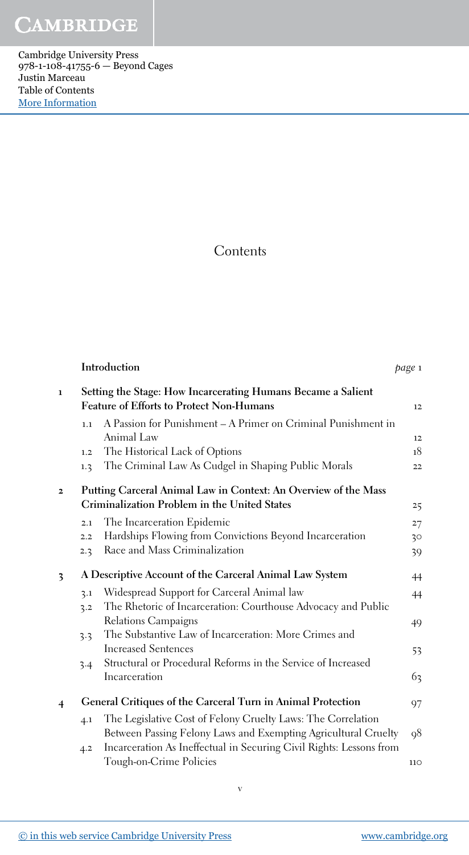Cambridge University Press 978-1-108-41755-6 — Beyond Cages Justin Marceau Table of Contents [More Information](www.cambridge.org/9781108417556)

## **Contents**

|                                                                                                                 |                                                               | page 1                                                                                                                                                                                                                                                                                                                                                                                                                                                                                                    |
|-----------------------------------------------------------------------------------------------------------------|---------------------------------------------------------------|-----------------------------------------------------------------------------------------------------------------------------------------------------------------------------------------------------------------------------------------------------------------------------------------------------------------------------------------------------------------------------------------------------------------------------------------------------------------------------------------------------------|
| Setting the Stage: How Incarcerating Humans Became a Salient<br><b>Feature of Efforts to Protect Non-Humans</b> |                                                               |                                                                                                                                                                                                                                                                                                                                                                                                                                                                                                           |
| 1.1                                                                                                             | A Passion for Punishment - A Primer on Criminal Punishment in |                                                                                                                                                                                                                                                                                                                                                                                                                                                                                                           |
|                                                                                                                 |                                                               | 12                                                                                                                                                                                                                                                                                                                                                                                                                                                                                                        |
| 1.2                                                                                                             |                                                               | 18                                                                                                                                                                                                                                                                                                                                                                                                                                                                                                        |
| 1.3                                                                                                             |                                                               | 22                                                                                                                                                                                                                                                                                                                                                                                                                                                                                                        |
|                                                                                                                 |                                                               |                                                                                                                                                                                                                                                                                                                                                                                                                                                                                                           |
|                                                                                                                 |                                                               | 25                                                                                                                                                                                                                                                                                                                                                                                                                                                                                                        |
| 2.1                                                                                                             | The Incarceration Epidemic                                    | 27                                                                                                                                                                                                                                                                                                                                                                                                                                                                                                        |
| 2.2                                                                                                             | Hardships Flowing from Convictions Beyond Incarceration       | 30                                                                                                                                                                                                                                                                                                                                                                                                                                                                                                        |
| 2.3                                                                                                             | Race and Mass Criminalization                                 | 39                                                                                                                                                                                                                                                                                                                                                                                                                                                                                                        |
|                                                                                                                 |                                                               | 44                                                                                                                                                                                                                                                                                                                                                                                                                                                                                                        |
| 3.1                                                                                                             | Widespread Support for Carceral Animal law                    | 44                                                                                                                                                                                                                                                                                                                                                                                                                                                                                                        |
| 3.2                                                                                                             | The Rhetoric of Incarceration: Courthouse Advocacy and Public |                                                                                                                                                                                                                                                                                                                                                                                                                                                                                                           |
|                                                                                                                 | Relations Campaigns                                           | 49                                                                                                                                                                                                                                                                                                                                                                                                                                                                                                        |
| 3.3                                                                                                             | The Substantive Law of Incarceration: More Crimes and         |                                                                                                                                                                                                                                                                                                                                                                                                                                                                                                           |
|                                                                                                                 | <b>Increased Sentences</b>                                    | 53                                                                                                                                                                                                                                                                                                                                                                                                                                                                                                        |
| 3.4                                                                                                             | Structural or Procedural Reforms in the Service of Increased  |                                                                                                                                                                                                                                                                                                                                                                                                                                                                                                           |
|                                                                                                                 | Incarceration                                                 | 63                                                                                                                                                                                                                                                                                                                                                                                                                                                                                                        |
|                                                                                                                 |                                                               | 97                                                                                                                                                                                                                                                                                                                                                                                                                                                                                                        |
| 4.1                                                                                                             | The Legislative Cost of Felony Cruelty Laws: The Correlation  |                                                                                                                                                                                                                                                                                                                                                                                                                                                                                                           |
|                                                                                                                 |                                                               | 98                                                                                                                                                                                                                                                                                                                                                                                                                                                                                                        |
|                                                                                                                 | Tough-on-Crime Policies                                       | 110                                                                                                                                                                                                                                                                                                                                                                                                                                                                                                       |
|                                                                                                                 | 4.2                                                           | Introduction<br>Animal Law<br>The Historical Lack of Options<br>The Criminal Law As Cudgel in Shaping Public Morals<br>Putting Carceral Animal Law in Context: An Overview of the Mass<br>Criminalization Problem in the United States<br>A Descriptive Account of the Carceral Animal Law System<br>General Critiques of the Carceral Turn in Animal Protection<br>Between Passing Felony Laws and Exempting Agricultural Cruelty<br>Incarceration As Ineffectual in Securing Civil Rights: Lessons from |

v